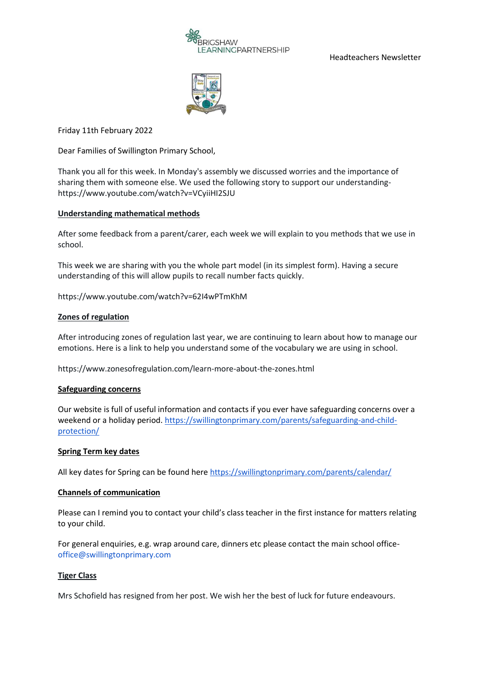

Headteachers Newsletter



Friday 11th February 2022

Dear Families of Swillington Primary School,

Thank you all for this week. In Monday's assembly we discussed worries and the importance of sharing them with someone else. We used the following story to support our understandinghttps://www.youtube.com/watch?v=VCyiiHI2SJU

## **Understanding mathematical methods**

After some feedback from a parent/carer, each week we will explain to you methods that we use in school.

This week we are sharing with you the whole part model (in its simplest form). Having a secure understanding of this will allow pupils to recall number facts quickly.

https://www.youtube.com/watch?v=62I4wPTmKhM

## **Zones of regulation**

After introducing zones of regulation last year, we are continuing to learn about how to manage our emotions. Here is a link to help you understand some of the vocabulary we are using in school.

https://www.zonesofregulation.com/learn-more-about-the-zones.html

## **Safeguarding concerns**

Our website is full of useful information and contacts if you ever have safeguarding concerns over a weekend or a holiday period. [https://swillingtonprimary.com/parents/safeguarding-and-child](https://swillingtonprimary.com/parents/safeguarding-and-child-protection/)[protection/](https://swillingtonprimary.com/parents/safeguarding-and-child-protection/)

## **Spring Term key dates**

All key dates for Spring can be found here<https://swillingtonprimary.com/parents/calendar/>

## **Channels of communication**

Please can I remind you to contact your child's class teacher in the first instance for matters relating to your child.

For general enquiries, e.g. wrap around care, dinners etc please contact the main school office[office@swillingtonprimary.com](mailto:office@swillingtonprimary.com)

## **Tiger Class**

Mrs Schofield has resigned from her post. We wish her the best of luck for future endeavours.